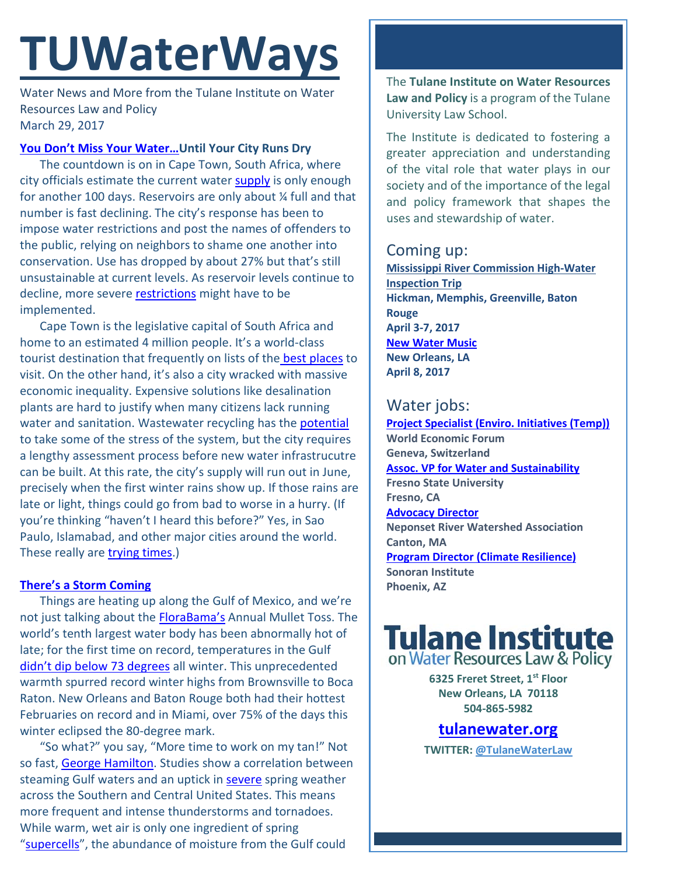# **TUWaterWays**

Water News and More from the Tulane Institute on Water Resources Law and Policy March 29, 2017

### **[You Don't Miss Your Water…U](https://www.youtube.com/watch?v=TskrdCyqRGY)ntil Your City Runs Dry**

The countdown is on in Cape Town, South Africa, where city officials estimate the current water **supply** is only enough for another 100 days. Reservoirs are only about ¼ full and that number is fast declining. The city's response has been to impose water restrictions and post the names of offenders to the public, relying on neighbors to shame one another into conservation. Use has dropped by about 27% but that's still unsustainable at current levels. As reservoir levels continue to decline, more severe [restrictions](https://memeburn.com/2017/03/cape-town-water-crisis-supply/) might have to be implemented.

Cape Town is the legislative capital of South Africa and home to an estimated 4 million people. It's a world-class tourist destination that frequently on lists of the [best places](http://www.telegraph.co.uk/travel/destinations/africa/south-africa/galleries/reasons-why-cape-town-is-the-best-city-in-the-world/) to visit. On the other hand, it's also a city wracked with massive economic inequality. Expensive solutions like desalination plants are hard to justify when many citizens lack running water and sanitation. Wastewater recycling has the [potential](http://www.timeslive.co.za/thetimes/2017/03/01/Drought-debate-heats-up-in-Cape-Town1) to take some of the stress of the system, but the city requires a lengthy assessment process before new water infrastrucutre can be built. At this rate, the city's supply will run out in June, precisely when the first winter rains show up. If those rains are late or light, things could go from bad to worse in a hurry. (If you're thinking "haven't I heard this before?" Yes, in Sao Paulo, Islamabad, and other major cities around the world. These really are **trying times**.)

## **[There's a Storm Coming](https://www.youtube.com/watch?v=zTzh8uhnlqc)**

Things are heating up along the Gulf of Mexico, and we're not just talking about the [FloraBama's](http://www.florabama.com/events/interstate-mullet-toss-and-gulf-coasts-greatest-beach-party) Annual Mullet Toss. The world's tenth largest water body has been abnormally hot of late; for the first time on record, temperatures in the Gulf [didn't dip below 73 degrees](https://arstechnica.com/science/2017/03/a-sizzling-gulf-of-mexico-could-bring-more-spring-storms/) all winter. This unprecedented warmth spurred record winter highs from Brownsville to Boca Raton. New Orleans and Baton Rouge both had their hottest Februaries on record and in Miami, over 75% of the days this winter eclipsed the 80-degree mark.

"So what?" you say, "More time to work on my tan!" Not so fast, [George Hamilton.](http://adland.tv/commercials/ritz-chips-george-hamilton-2003-030-usa) Studies show a correlation between steaming Gulf waters and an uptick i[n severe](http://www.koco.com/article/sunday-storm-update-severe-storms-likely/9187525) spring weather across the Southern and Central United States. This means more frequent and intense thunderstorms and tornadoes. While warm, wet air is only one ingredient of spring ["supercells"](http://thevane.gawker.com/what-is-a-supercell-thunderstorm-1564133584), the abundance of moisture from the Gulf could

The **Tulane Institute on Water Resources Law and Policy** is a program of the Tulane University Law School.

The Institute is dedicated to fostering a greater appreciation and understanding of the vital role that water plays in our society and of the importance of the legal and policy framework that shapes the uses and stewardship of water.

## Coming up:

**Mississippi River Commission High-Water Inspection Trip Hickman, Memphis, Greenville, Baton Rouge April 3-7, 2017 [New Water Music](http://neworleansairlift.org/index.php/component/k2/item/540-new-water-music) New Orleans, LA April 8, 2017**

## Water jobs:

**[Project Specialist \(Enviro. Initiatives \(Temp\)\)](http://www.joshswaterjobs.com/jobs/3097) World Economic Forum Geneva, Switzerland [Assoc. VP for Water and Sustainability](http://www.joshswaterjobs.com/jobs/3903) Fresno State University Fresno, CA [Advocacy Director](http://www.joshswaterjobs.com/jobs/3803) Neponset River Watershed Association Canton, MA [Program Director \(Climate Resilience\)](http://www.joshswaterjobs.com/jobs/3642) Sonoran Institute Phoenix, AZ**

## **Tulane Institute**<br>on Water Resources Law & Policy

**6325 Freret Street, 1st Floor New Orleans, LA 70118 504-865-5982** 

**tulanewater.org**

**TWITTER: [@TulaneWaterLaw](http://www.twitter.com/TulaneWaterLaw)**